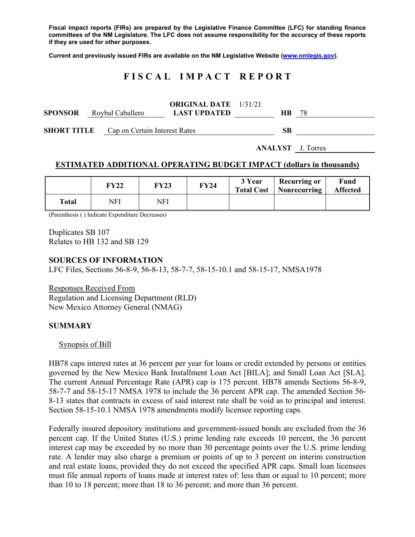**Fiscal impact reports (FIRs) are prepared by the Legislative Finance Committee (LFC) for standing finance committees of the NM Legislature. The LFC does not assume responsibility for the accuracy of these reports if they are used for other purposes.** 

**Current and previously issued FIRs are available on the NM Legislative Website (www.nmlegis.gov).** 

# **F I S C A L I M P A C T R E P O R T**

| <b>SPONSOR</b>     |  | Roybal Caballero              | <b>ORIGINAL DATE</b> 1/31/21<br><b>LAST UPDATED</b> | HB. | -78 |
|--------------------|--|-------------------------------|-----------------------------------------------------|-----|-----|
| <b>SHORT TITLE</b> |  | Cap on Certain Interest Rates |                                                     | SВ  |     |

**ANALYST** J. Torres

#### **ESTIMATED ADDITIONAL OPERATING BUDGET IMPACT (dollars in thousands)**

|       | <b>FY22</b> | <b>FY23</b> | <b>FY24</b> | 3 Year | <b>Recurring or</b><br>Total Cost   Nonrecurring | Fund<br><b>Affected</b> |
|-------|-------------|-------------|-------------|--------|--------------------------------------------------|-------------------------|
| Total | NFI         | NFI         |             |        |                                                  |                         |

(Parenthesis ( ) Indicate Expenditure Decreases)

Duplicates SB 107 Relates to HB 132 and SB 129

#### **SOURCES OF INFORMATION**

LFC Files, Sections 56-8-9, 56-8-13, 58-7-7, 58-15-10.1 and 58-15-17, NMSA1978

Responses Received From Regulation and Licensing Department (RLD) New Mexico Attorney General (NMAG)

#### **SUMMARY**

#### Synopsis of Bill

HB78 caps interest rates at 36 percent per year for loans or credit extended by persons or entities governed by the New Mexico Bank Installment Loan Act [BILA]; and Small Loan Act [SLA]. The current Annual Percentage Rate (APR) cap is 175 percent. HB78 amends Sections 56-8-9, 58-7-7 and 58-15-17 NMSA 1978 to include the 36 percent APR cap. The amended Section 56- 8-13 states that contracts in excess of said interest rate shall be void as to principal and interest. Section 58-15-10.1 NMSA 1978 amendments modify licensee reporting caps.

Federally insured depository institutions and government-issued bonds are excluded from the 36 percent cap. If the United States (U.S.) prime lending rate exceeds 10 percent, the 36 percent interest cap may be exceeded by no more than 30 percentage points over the U.S. prime lending rate. A lender may also charge a premium or points of up to 3 percent on interim construction and real estate loans, provided they do not exceed the specified APR caps. Small loan licensees must file annual reports of loans made at interest rates of: less than or equal to 10 percent; more than 10 to 18 percent; more than 18 to 36 percent; and more than 36 percent.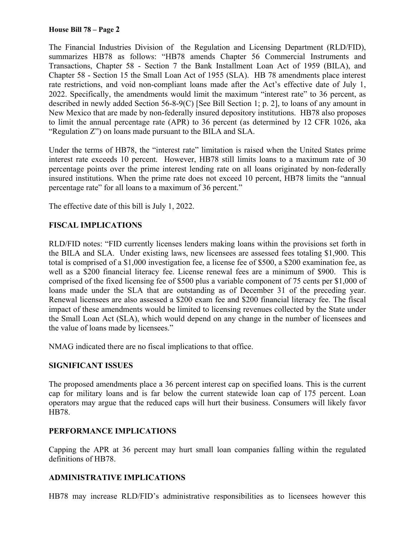## **House Bill 78 – Page 2**

The Financial Industries Division of the Regulation and Licensing Department (RLD/FID), summarizes HB78 as follows: "HB78 amends Chapter 56 Commercial Instruments and Transactions, Chapter 58 - Section 7 the Bank Installment Loan Act of 1959 (BILA), and Chapter 58 - Section 15 the Small Loan Act of 1955 (SLA). HB 78 amendments place interest rate restrictions, and void non-compliant loans made after the Act's effective date of July 1, 2022. Specifically, the amendments would limit the maximum "interest rate" to 36 percent, as described in newly added Section 56-8-9(C) [See Bill Section 1; p. 2], to loans of any amount in New Mexico that are made by non-federally insured depository institutions. HB78 also proposes to limit the annual percentage rate (APR) to 36 percent (as determined by 12 CFR 1026, aka "Regulation Z") on loans made pursuant to the BILA and SLA.

Under the terms of HB78, the "interest rate" limitation is raised when the United States prime interest rate exceeds 10 percent. However, HB78 still limits loans to a maximum rate of 30 percentage points over the prime interest lending rate on all loans originated by non-federally insured institutions. When the prime rate does not exceed 10 percent, HB78 limits the "annual percentage rate" for all loans to a maximum of 36 percent."

The effective date of this bill is July 1, 2022.

## **FISCAL IMPLICATIONS**

RLD/FID notes: "FID currently licenses lenders making loans within the provisions set forth in the BILA and SLA. Under existing laws, new licensees are assessed fees totaling \$1,900. This total is comprised of a \$1,000 investigation fee, a license fee of \$500, a \$200 examination fee, as well as a \$200 financial literacy fee. License renewal fees are a minimum of \$900. This is comprised of the fixed licensing fee of \$500 plus a variable component of 75 cents per \$1,000 of loans made under the SLA that are outstanding as of December 31 of the preceding year. Renewal licensees are also assessed a \$200 exam fee and \$200 financial literacy fee. The fiscal impact of these amendments would be limited to licensing revenues collected by the State under the Small Loan Act (SLA), which would depend on any change in the number of licensees and the value of loans made by licensees."

NMAG indicated there are no fiscal implications to that office.

## **SIGNIFICANT ISSUES**

The proposed amendments place a 36 percent interest cap on specified loans. This is the current cap for military loans and is far below the current statewide loan cap of 175 percent. Loan operators may argue that the reduced caps will hurt their business. Consumers will likely favor HB78.

## **PERFORMANCE IMPLICATIONS**

Capping the APR at 36 percent may hurt small loan companies falling within the regulated definitions of HB78.

## **ADMINISTRATIVE IMPLICATIONS**

HB78 may increase RLD/FID's administrative responsibilities as to licensees however this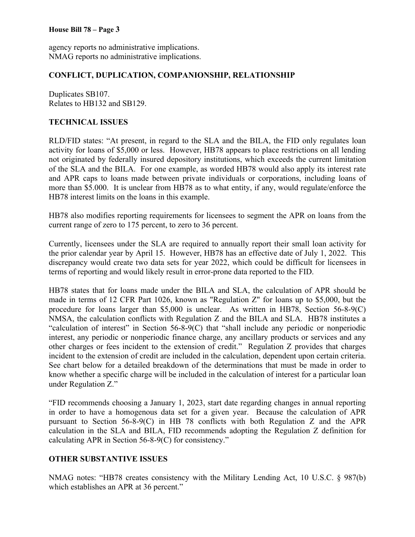## **House Bill 78 – Page 3**

agency reports no administrative implications. NMAG reports no administrative implications.

## **CONFLICT, DUPLICATION, COMPANIONSHIP, RELATIONSHIP**

Duplicates SB107. Relates to HB132 and SB129.

## **TECHNICAL ISSUES**

RLD/FID states: "At present, in regard to the SLA and the BILA, the FID only regulates loan activity for loans of \$5,000 or less. However, HB78 appears to place restrictions on all lending not originated by federally insured depository institutions, which exceeds the current limitation of the SLA and the BILA. For one example, as worded HB78 would also apply its interest rate and APR caps to loans made between private individuals or corporations, including loans of more than \$5.000. It is unclear from HB78 as to what entity, if any, would regulate/enforce the HB78 interest limits on the loans in this example.

HB78 also modifies reporting requirements for licensees to segment the APR on loans from the current range of zero to 175 percent, to zero to 36 percent.

Currently, licensees under the SLA are required to annually report their small loan activity for the prior calendar year by April 15. However, HB78 has an effective date of July 1, 2022. This discrepancy would create two data sets for year 2022, which could be difficult for licensees in terms of reporting and would likely result in error-prone data reported to the FID.

HB78 states that for loans made under the BILA and SLA, the calculation of APR should be made in terms of 12 CFR Part 1026, known as "Regulation Z" for loans up to \$5,000, but the procedure for loans larger than \$5,000 is unclear. As written in HB78, Section 56-8-9(C) NMSA, the calculation conflicts with Regulation Z and the BILA and SLA. HB78 institutes a "calculation of interest" in Section 56-8-9(C) that "shall include any periodic or nonperiodic interest, any periodic or nonperiodic finance charge, any ancillary products or services and any other charges or fees incident to the extension of credit." Regulation Z provides that charges incident to the extension of credit are included in the calculation, dependent upon certain criteria. See chart below for a detailed breakdown of the determinations that must be made in order to know whether a specific charge will be included in the calculation of interest for a particular loan under Regulation Z."

"FID recommends choosing a January 1, 2023, start date regarding changes in annual reporting in order to have a homogenous data set for a given year. Because the calculation of APR pursuant to Section 56-8-9(C) in HB 78 conflicts with both Regulation Z and the APR calculation in the SLA and BILA, FID recommends adopting the Regulation Z definition for calculating APR in Section 56-8-9(C) for consistency."

## **OTHER SUBSTANTIVE ISSUES**

NMAG notes: "HB78 creates consistency with the Military Lending Act, 10 U.S.C. § 987(b) which establishes an APR at 36 percent."